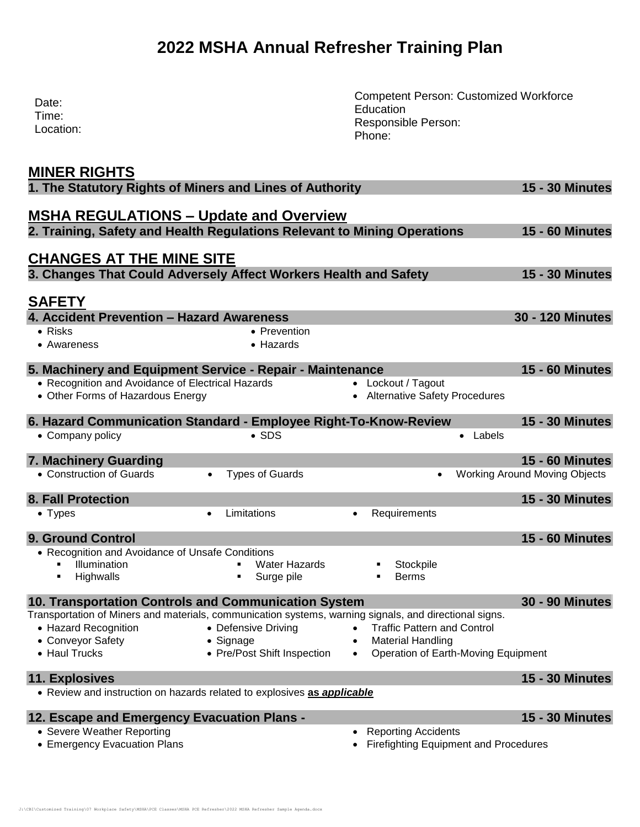# **2022 MSHA Annual Refresher Training Plan**

| Date:<br>Time:<br>Location:                                                                                                                                                                                                  |                                                                 | <b>Competent Person: Customized Workforce</b><br>Education<br>Responsible Person:<br>Phone:                                     |                                                                |
|------------------------------------------------------------------------------------------------------------------------------------------------------------------------------------------------------------------------------|-----------------------------------------------------------------|---------------------------------------------------------------------------------------------------------------------------------|----------------------------------------------------------------|
| <b>MINER RIGHTS</b><br>1. The Statutory Rights of Miners and Lines of Authority                                                                                                                                              |                                                                 |                                                                                                                                 | <b>15 - 30 Minutes</b>                                         |
| <b>MSHA REGULATIONS - Update and Overview</b><br>2. Training, Safety and Health Regulations Relevant to Mining Operations                                                                                                    |                                                                 |                                                                                                                                 | <b>15 - 60 Minutes</b>                                         |
| <b>CHANGES AT THE MINE SITE</b><br>3. Changes That Could Adversely Affect Workers Health and Safety                                                                                                                          |                                                                 |                                                                                                                                 | <b>15 - 30 Minutes</b>                                         |
| <b>SAFETY</b><br>4. Accident Prevention - Hazard Awareness<br>$\bullet$ Risks                                                                                                                                                | • Prevention                                                    |                                                                                                                                 | <b>30 - 120 Minutes</b>                                        |
| • Awareness                                                                                                                                                                                                                  | • Hazards                                                       |                                                                                                                                 |                                                                |
| 5. Machinery and Equipment Service - Repair - Maintenance<br>• Recognition and Avoidance of Electrical Hazards<br>• Other Forms of Hazardous Energy                                                                          |                                                                 | • Lockout / Tagout<br>• Alternative Safety Procedures                                                                           | <b>15 - 60 Minutes</b>                                         |
| 6. Hazard Communication Standard - Employee Right-To-Know-Review<br>• Company policy                                                                                                                                         | $\bullet$ SDS                                                   | • Labels                                                                                                                        | <b>15 - 30 Minutes</b>                                         |
| 7. Machinery Guarding<br>• Construction of Guards                                                                                                                                                                            | <b>Types of Guards</b>                                          | $\bullet$                                                                                                                       | <b>15 - 60 Minutes</b><br><b>Working Around Moving Objects</b> |
| <b>8. Fall Protection</b>                                                                                                                                                                                                    |                                                                 |                                                                                                                                 | <b>15 - 30 Minutes</b>                                         |
| • Types                                                                                                                                                                                                                      | Limitations<br>$\bullet$                                        | Requirements                                                                                                                    |                                                                |
| <b>9. Ground Control</b><br>• Recognition and Avoidance of Unsafe Conditions<br>Illumination<br>Highwalls                                                                                                                    | <b>Water Hazards</b><br>٠<br>Surge pile<br>п                    | Stockpile<br><b>Berms</b>                                                                                                       | <b>15 - 60 Minutes</b>                                         |
| 10. Transportation Controls and Communication System<br>Transportation of Miners and materials, communication systems, warning signals, and directional signs.<br>• Hazard Recognition<br>• Conveyor Safety<br>• Haul Trucks | • Defensive Driving<br>• Signage<br>• Pre/Post Shift Inspection | <b>Traffic Pattern and Control</b><br><b>Material Handling</b><br>$\bullet$<br>Operation of Earth-Moving Equipment<br>$\bullet$ | <b>30 - 90 Minutes</b>                                         |
| 11. Explosives<br>• Review and instruction on hazards related to explosives as applicable                                                                                                                                    |                                                                 |                                                                                                                                 | <b>15 - 30 Minutes</b>                                         |
| 12. Escape and Emergency Evacuation Plans -<br>• Severe Weather Reporting<br>• Emergency Evacuation Plans                                                                                                                    |                                                                 | <b>Reporting Accidents</b><br>Firefighting Equipment and Procedures                                                             | <b>15 - 30 Minutes</b>                                         |